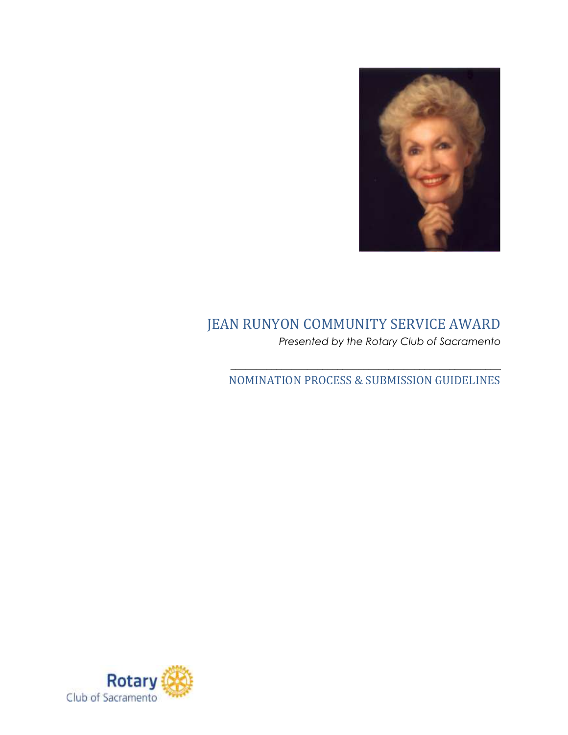

## JEAN RUNYON COMMUNITY SERVICE AWARD *Presented by the Rotary Club of Sacramento*

 $\_$  , and the set of the set of the set of the set of the set of the set of the set of the set of the set of the set of the set of the set of the set of the set of the set of the set of the set of the set of the set of th NOMINATION PROCESS & SUBMISSION GUIDELINES

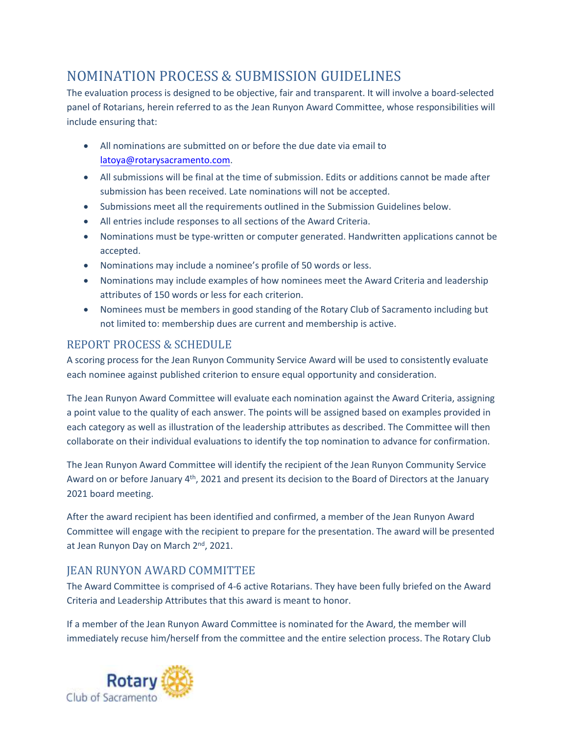## NOMINATION PROCESS & SUBMISSION GUIDELINES

The evaluation process is designed to be objective, fair and transparent. It will involve a board-selected panel of Rotarians, herein referred to as the Jean Runyon Award Committee, whose responsibilities will include ensuring that:

- All nominations are submitted on or before the due date via email to [latoya@rotarysacramento.com](mailto:latoya@rotarysacramento.com).
- All submissions will be final at the time of submission. Edits or additions cannot be made after submission has been received. Late nominations will not be accepted.
- Submissions meet all the requirements outlined in the Submission Guidelines below.
- All entries include responses to all sections of the Award Criteria.
- Nominations must be type-written or computer generated. Handwritten applications cannot be accepted.
- Nominations may include a nominee's profile of 50 words or less.
- Nominations may include examples of how nominees meet the Award Criteria and leadership attributes of 150 words or less for each criterion.
- Nominees must be members in good standing of the Rotary Club of Sacramento including but not limited to: membership dues are current and membership is active.

## REPORT PROCESS & SCHEDULE

A scoring process for the Jean Runyon Community Service Award will be used to consistently evaluate each nominee against published criterion to ensure equal opportunity and consideration.

The Jean Runyon Award Committee will evaluate each nomination against the Award Criteria, assigning a point value to the quality of each answer. The points will be assigned based on examples provided in each category as well as illustration of the leadership attributes as described. The Committee will then collaborate on their individual evaluations to identify the top nomination to advance for confirmation.

The Jean Runyon Award Committee will identify the recipient of the Jean Runyon Community Service Award on or before January 4<sup>th</sup>, 2021 and present its decision to the Board of Directors at the January 2021 board meeting.

After the award recipient has been identified and confirmed, a member of the Jean Runyon Award Committee will engage with the recipient to prepare for the presentation. The award will be presented at Jean Runyon Day on March 2<sup>nd</sup>, 2021.

## JEAN RUNYON AWARD COMMITTEE

The Award Committee is comprised of 4-6 active Rotarians. They have been fully briefed on the Award Criteria and Leadership Attributes that this award is meant to honor.

If a member of the Jean Runyon Award Committee is nominated for the Award, the member will immediately recuse him/herself from the committee and the entire selection process. The Rotary Club